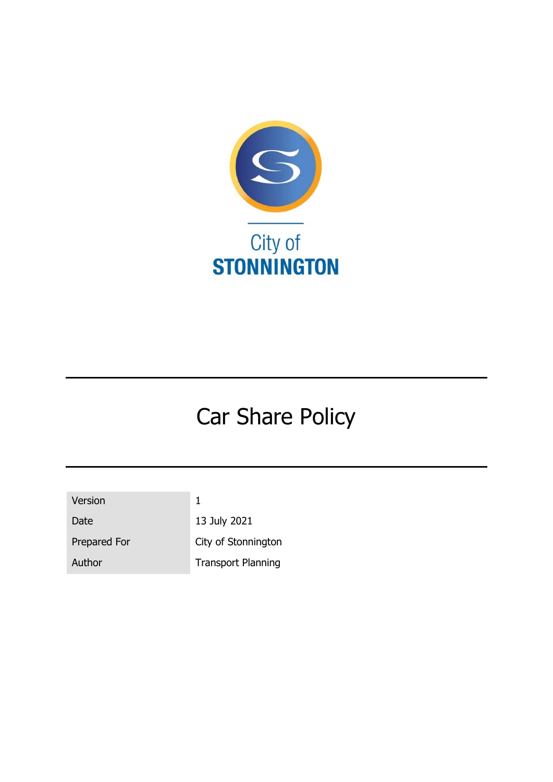

# Car Share Policy

| Version      |  |
|--------------|--|
| Date         |  |
| Prepared For |  |
| Author       |  |

13 July 2021 City of Stonnington **Transport Planning**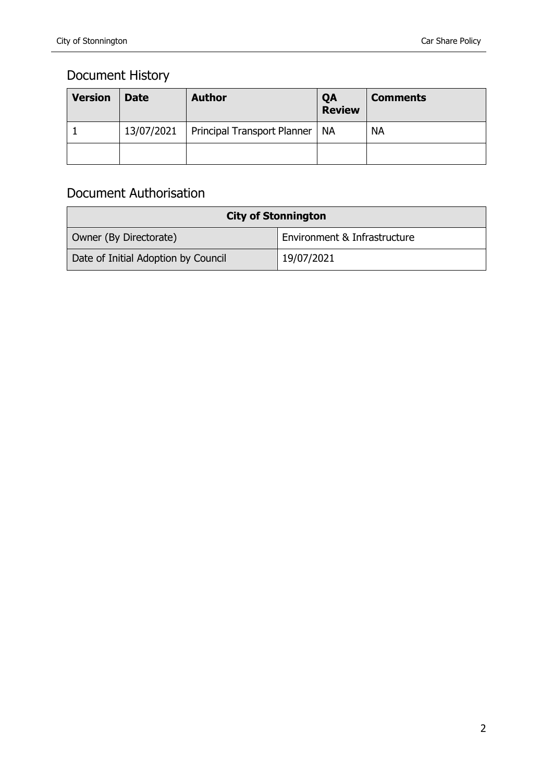### Document History

| <b>Version</b> | <b>Date</b> | <b>Author</b>                    | QA<br><b>Review</b> | <b>Comments</b> |
|----------------|-------------|----------------------------------|---------------------|-----------------|
|                | 13/07/2021  | Principal Transport Planner   NA |                     | <b>NA</b>       |
|                |             |                                  |                     |                 |

### Document Authorisation

| <b>City of Stonnington</b>          |                              |  |  |  |
|-------------------------------------|------------------------------|--|--|--|
| Owner (By Directorate)              | Environment & Infrastructure |  |  |  |
| Date of Initial Adoption by Council | 19/07/2021                   |  |  |  |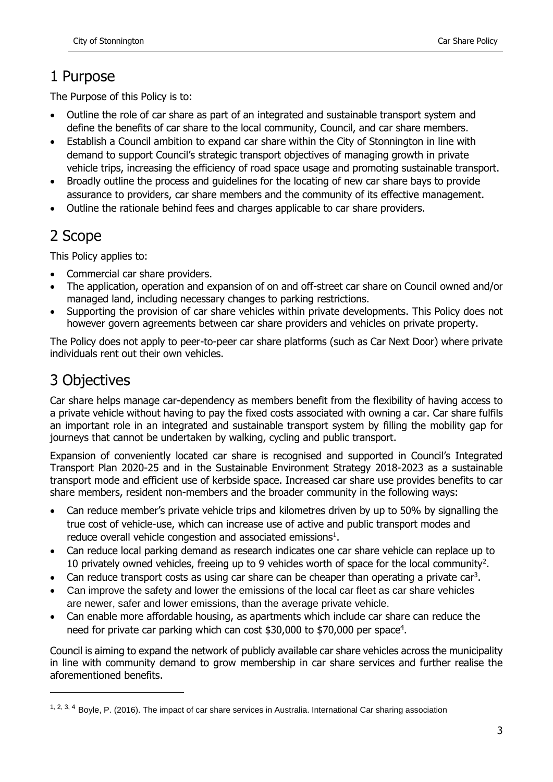# 1 Purpose

The Purpose of this Policy is to:

- Outline the role of car share as part of an integrated and sustainable transport system and define the benefits of car share to the local community, Council, and car share members.
- Establish a Council ambition to expand car share within the City of Stonnington in line with demand to support Council's strategic transport objectives of managing growth in private vehicle trips, increasing the efficiency of road space usage and promoting sustainable transport.
- Broadly outline the process and guidelines for the locating of new car share bays to provide assurance to providers, car share members and the community of its effective management.
- Outline the rationale behind fees and charges applicable to car share providers.

# 2 Scope

This Policy applies to:

- Commercial car share providers.
- The application, operation and expansion of on and off-street car share on Council owned and/or managed land, including necessary changes to parking restrictions.
- Supporting the provision of car share vehicles within private developments. This Policy does not however govern agreements between car share providers and vehicles on private property.

The Policy does not apply to peer-to-peer car share platforms (such as Car Next Door) where private individuals rent out their own vehicles.

# 3 Objectives

-

Car share helps manage car-dependency as members benefit from the flexibility of having access to a private vehicle without having to pay the fixed costs associated with owning a car. Car share fulfils an important role in an integrated and sustainable transport system by filling the mobility gap for journeys that cannot be undertaken by walking, cycling and public transport.

Expansion of conveniently located car share is recognised and supported in Council's Integrated Transport Plan 2020-25 and in the Sustainable Environment Strategy 2018-2023 as a sustainable transport mode and efficient use of kerbside space. Increased car share use provides benefits to car share members, resident non-members and the broader community in the following ways:

- Can reduce member's private vehicle trips and kilometres driven by up to 50% by signalling the true cost of vehicle-use, which can increase use of active and public transport modes and reduce overall vehicle congestion and associated emissions $<sup>1</sup>$ .</sup>
- Can reduce local parking demand as research indicates one car share vehicle can replace up to 10 privately owned vehicles, freeing up to 9 vehicles worth of space for the local community<sup>2</sup>.
- Can reduce transport costs as using car share can be cheaper than operating a private car<sup>3</sup>.
- Can improve the safety and lower the emissions of the local car fleet as car share vehicles are newer, safer and lower emissions, than the average private vehicle.
- Can enable more affordable housing, as apartments which include car share can reduce the need for private car parking which can cost \$30,000 to \$70,000 per space<sup>4</sup>.

Council is aiming to expand the network of publicly available car share vehicles across the municipality in line with community demand to grow membership in car share services and further realise the aforementioned benefits.

 $1, 2, 3, 4$  Boyle, P. (2016). The impact of car share services in Australia. International Car sharing association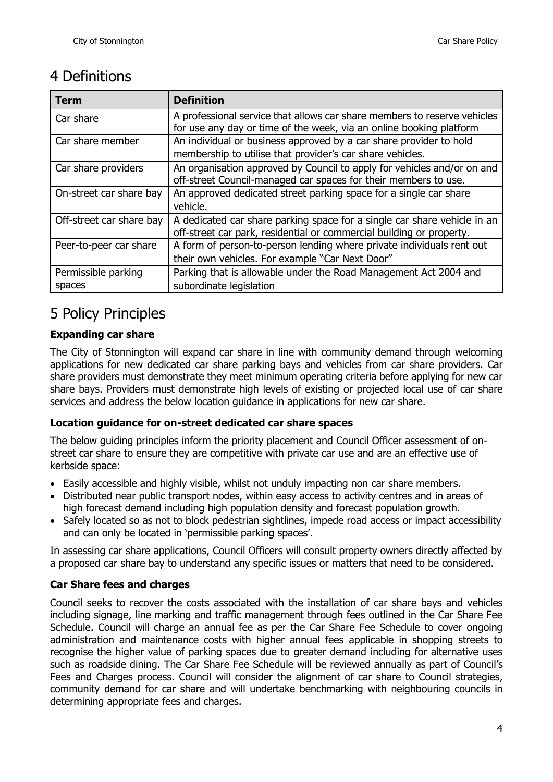### 4 Definitions

| Term                     | <b>Definition</b>                                                        |
|--------------------------|--------------------------------------------------------------------------|
| Car share                | A professional service that allows car share members to reserve vehicles |
|                          | for use any day or time of the week, via an online booking platform      |
| Car share member         | An individual or business approved by a car share provider to hold       |
|                          | membership to utilise that provider's car share vehicles.                |
| Car share providers      | An organisation approved by Council to apply for vehicles and/or on and  |
|                          | off-street Council-managed car spaces for their members to use.          |
| On-street car share bay  | An approved dedicated street parking space for a single car share        |
|                          | vehicle.                                                                 |
| Off-street car share bay | A dedicated car share parking space for a single car share vehicle in an |
|                          | off-street car park, residential or commercial building or property.     |
| Peer-to-peer car share   | A form of person-to-person lending where private individuals rent out    |
|                          | their own vehicles. For example "Car Next Door"                          |
| Permissible parking      | Parking that is allowable under the Road Management Act 2004 and         |
| spaces                   | subordinate legislation                                                  |

# 5 Policy Principles

#### **Expanding car share**

The City of Stonnington will expand car share in line with community demand through welcoming applications for new dedicated car share parking bays and vehicles from car share providers. Car share providers must demonstrate they meet minimum operating criteria before applying for new car share bays. Providers must demonstrate high levels of existing or projected local use of car share services and address the below location guidance in applications for new car share.

#### **Location guidance for on-street dedicated car share spaces**

The below guiding principles inform the priority placement and Council Officer assessment of onstreet car share to ensure they are competitive with private car use and are an effective use of kerbside space:

- Easily accessible and highly visible, whilst not unduly impacting non car share members.
- Distributed near public transport nodes, within easy access to activity centres and in areas of high forecast demand including high population density and forecast population growth.
- Safely located so as not to block pedestrian sightlines, impede road access or impact accessibility and can only be located in 'permissible parking spaces'.

In assessing car share applications, Council Officers will consult property owners directly affected by a proposed car share bay to understand any specific issues or matters that need to be considered.

#### **Car Share fees and charges**

Council seeks to recover the costs associated with the installation of car share bays and vehicles including signage, line marking and traffic management through fees outlined in the Car Share Fee Schedule. Council will charge an annual fee as per the Car Share Fee Schedule to cover ongoing administration and maintenance costs with higher annual fees applicable in shopping streets to recognise the higher value of parking spaces due to greater demand including for alternative uses such as roadside dining. The Car Share Fee Schedule will be reviewed annually as part of Council's Fees and Charges process. Council will consider the alignment of car share to Council strategies, community demand for car share and will undertake benchmarking with neighbouring councils in determining appropriate fees and charges.